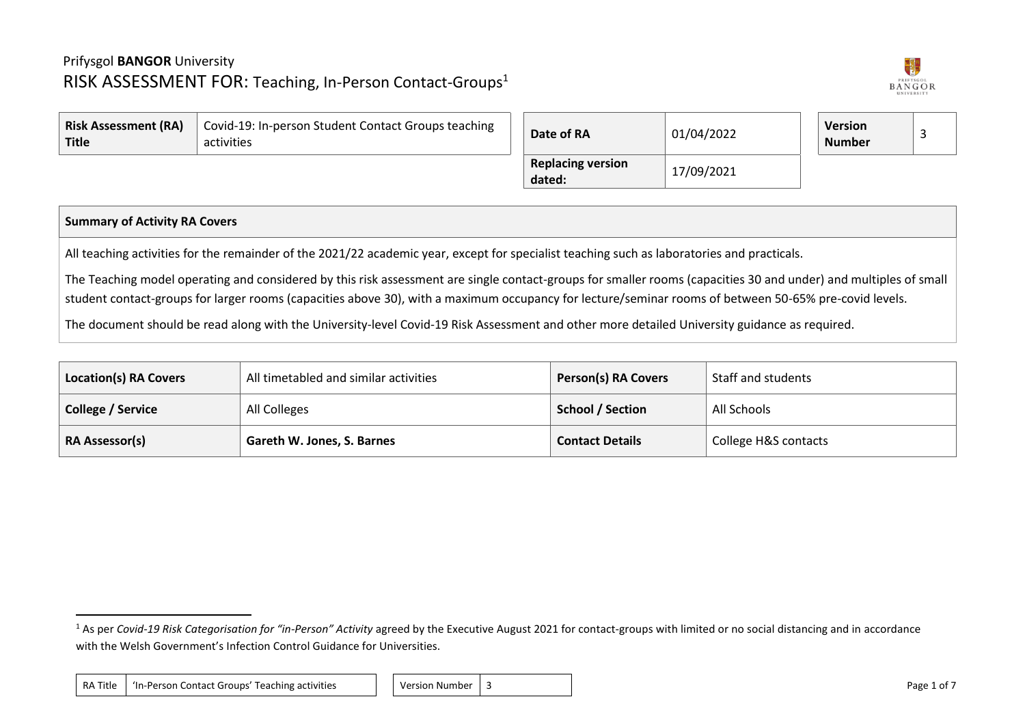

| <b>Risk Assessment (RA)</b><br>Title | Covid-19: In-person Student Contact Groups teaching<br>activities | Date of RA                         | 01/04/2022 | <b>Version</b><br><b>Number</b> |  |
|--------------------------------------|-------------------------------------------------------------------|------------------------------------|------------|---------------------------------|--|
|                                      |                                                                   | <b>Replacing version</b><br>dated: | 17/09/2021 |                                 |  |

## **Summary of Activity RA Covers**

All teaching activities for the remainder of the 2021/22 academic year, except for specialist teaching such as laboratories and practicals.

The Teaching model operating and considered by this risk assessment are single contact-groups for smaller rooms (capacities 30 and under) and multiples of small student contact-groups for larger rooms (capacities above 30), with a maximum occupancy for lecture/seminar rooms of between 50-65% pre-covid levels.

The document should be read along with the University-level Covid-19 Risk Assessment and other more detailed University guidance as required.

| <b>Location(s) RA Covers</b> | All timetabled and similar activities | <b>Person(s) RA Covers</b> | Staff and students   |
|------------------------------|---------------------------------------|----------------------------|----------------------|
| <b>College / Service</b>     | All Colleges                          | <b>School / Section</b>    | All Schools          |
| <b>RA Assessor(s)</b>        | Gareth W. Jones, S. Barnes            | <b>Contact Details</b>     | College H&S contacts |

<sup>&</sup>lt;sup>1</sup> As per *Covid-19 Risk Categorisation for "in-Person" Activity* agreed by the Executive August 2021 for contact-groups with limited or no social distancing and in accordance with the Welsh Government's Infection Control Guidance for Universities.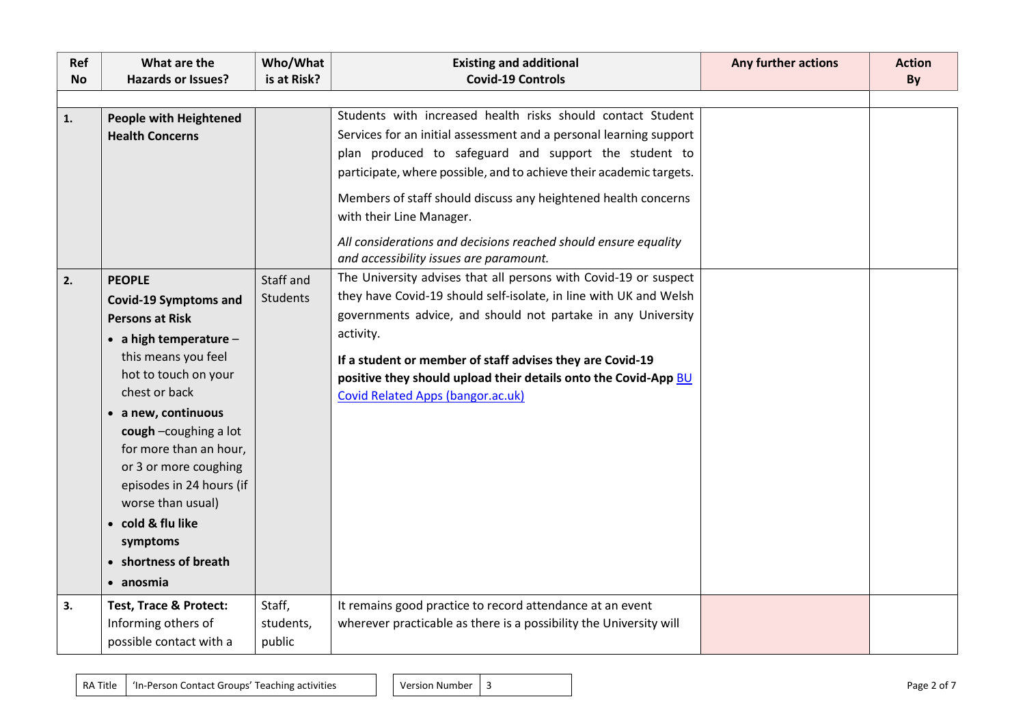| Ref<br><b>No</b> | What are the<br><b>Hazards or Issues?</b>                                                                                                                                                                                                                                                                                                                                                            | Who/What<br>is at Risk?       | <b>Existing and additional</b><br><b>Covid-19 Controls</b>                                                                                                                                                                                                                                                                                                                              | Any further actions | <b>Action</b><br>By |
|------------------|------------------------------------------------------------------------------------------------------------------------------------------------------------------------------------------------------------------------------------------------------------------------------------------------------------------------------------------------------------------------------------------------------|-------------------------------|-----------------------------------------------------------------------------------------------------------------------------------------------------------------------------------------------------------------------------------------------------------------------------------------------------------------------------------------------------------------------------------------|---------------------|---------------------|
| 1.               | <b>People with Heightened</b><br><b>Health Concerns</b>                                                                                                                                                                                                                                                                                                                                              |                               | Students with increased health risks should contact Student<br>Services for an initial assessment and a personal learning support<br>plan produced to safeguard and support the student to<br>participate, where possible, and to achieve their academic targets.<br>Members of staff should discuss any heightened health concerns<br>with their Line Manager.                         |                     |                     |
|                  |                                                                                                                                                                                                                                                                                                                                                                                                      |                               | All considerations and decisions reached should ensure equality<br>and accessibility issues are paramount.                                                                                                                                                                                                                                                                              |                     |                     |
| 2.               | <b>PEOPLE</b><br><b>Covid-19 Symptoms and</b><br><b>Persons at Risk</b><br>$\bullet$ a high temperature -<br>this means you feel<br>hot to touch on your<br>chest or back<br>• a new, continuous<br>cough -coughing a lot<br>for more than an hour,<br>or 3 or more coughing<br>episodes in 24 hours (if<br>worse than usual)<br>• cold & flu like<br>symptoms<br>• shortness of breath<br>• anosmia | Staff and<br><b>Students</b>  | The University advises that all persons with Covid-19 or suspect<br>they have Covid-19 should self-isolate, in line with UK and Welsh<br>governments advice, and should not partake in any University<br>activity.<br>If a student or member of staff advises they are Covid-19<br>positive they should upload their details onto the Covid-App BU<br>Covid Related Apps (bangor.ac.uk) |                     |                     |
| 3.               | <b>Test, Trace &amp; Protect:</b><br>Informing others of<br>possible contact with a                                                                                                                                                                                                                                                                                                                  | Staff,<br>students,<br>public | It remains good practice to record attendance at an event<br>wherever practicable as there is a possibility the University will                                                                                                                                                                                                                                                         |                     |                     |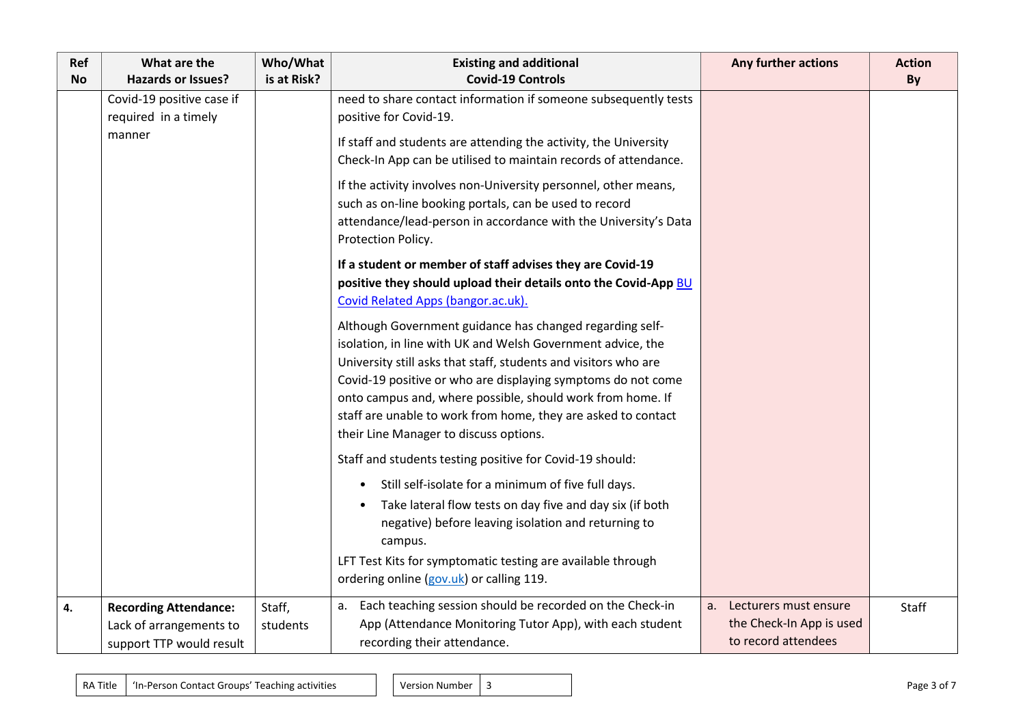| Ref<br><b>No</b> | What are the<br><b>Hazards or Issues?</b>                                           | Who/What<br>is at Risk? | <b>Existing and additional</b><br><b>Covid-19 Controls</b>                                                                                                                                                                            | Any further actions                                                         | <b>Action</b><br>By |
|------------------|-------------------------------------------------------------------------------------|-------------------------|---------------------------------------------------------------------------------------------------------------------------------------------------------------------------------------------------------------------------------------|-----------------------------------------------------------------------------|---------------------|
|                  | Covid-19 positive case if<br>required in a timely                                   |                         | need to share contact information if someone subsequently tests<br>positive for Covid-19.                                                                                                                                             |                                                                             |                     |
|                  | manner                                                                              |                         | If staff and students are attending the activity, the University<br>Check-In App can be utilised to maintain records of attendance.                                                                                                   |                                                                             |                     |
|                  |                                                                                     |                         | If the activity involves non-University personnel, other means,<br>such as on-line booking portals, can be used to record<br>attendance/lead-person in accordance with the University's Data<br>Protection Policy.                    |                                                                             |                     |
|                  |                                                                                     |                         | If a student or member of staff advises they are Covid-19<br>positive they should upload their details onto the Covid-App BU<br>Covid Related Apps (bangor.ac.uk).                                                                    |                                                                             |                     |
|                  |                                                                                     |                         | Although Government guidance has changed regarding self-<br>isolation, in line with UK and Welsh Government advice, the<br>University still asks that staff, students and visitors who are                                            |                                                                             |                     |
|                  |                                                                                     |                         | Covid-19 positive or who are displaying symptoms do not come<br>onto campus and, where possible, should work from home. If<br>staff are unable to work from home, they are asked to contact<br>their Line Manager to discuss options. |                                                                             |                     |
|                  |                                                                                     |                         | Staff and students testing positive for Covid-19 should:                                                                                                                                                                              |                                                                             |                     |
|                  |                                                                                     |                         | Still self-isolate for a minimum of five full days.<br>Take lateral flow tests on day five and day six (if both<br>$\bullet$<br>negative) before leaving isolation and returning to<br>campus.                                        |                                                                             |                     |
|                  |                                                                                     |                         | LFT Test Kits for symptomatic testing are available through<br>ordering online (gov.uk) or calling 119.                                                                                                                               |                                                                             |                     |
| 4.               | <b>Recording Attendance:</b><br>Lack of arrangements to<br>support TTP would result | Staff,<br>students      | a. Each teaching session should be recorded on the Check-in<br>App (Attendance Monitoring Tutor App), with each student<br>recording their attendance.                                                                                | a. Lecturers must ensure<br>the Check-In App is used<br>to record attendees | Staff               |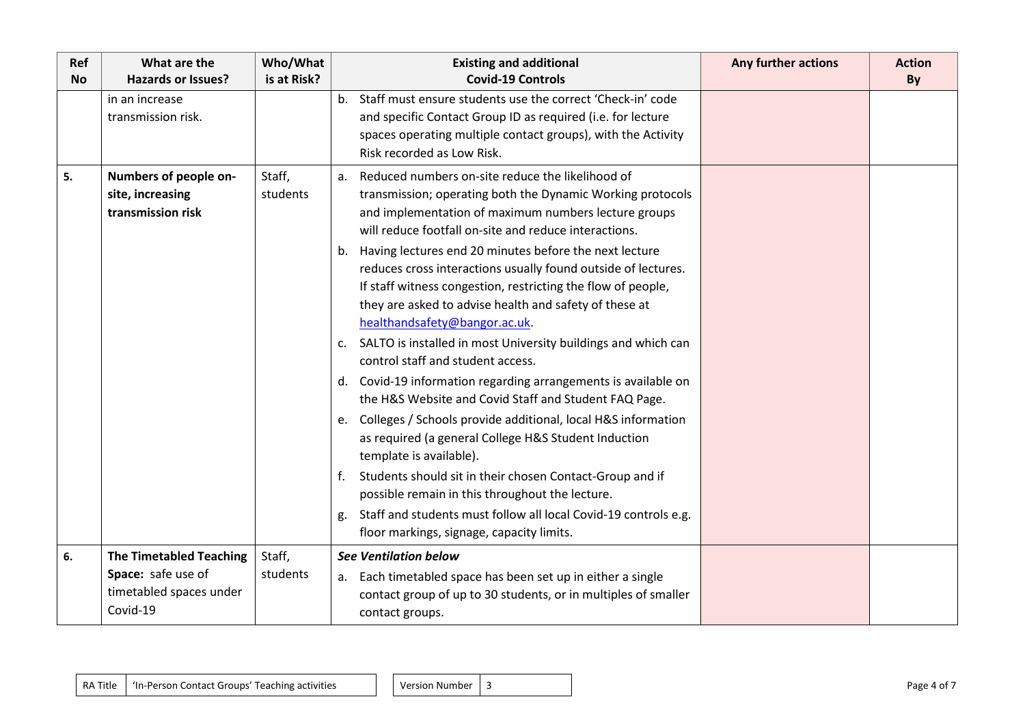| Ref<br><b>No</b> | What are the<br><b>Hazards or Issues?</b>                      | Who/What<br>is at Risk? | <b>Existing and additional</b><br><b>Covid-19 Controls</b>                                                                                                                                                                                                                                                                                                                                                                                                                                                                                                                                                                                                                                                                                                                                                                                                                                                                                                                                                                                                                                                                                                    | Any further actions | <b>Action</b><br>By |
|------------------|----------------------------------------------------------------|-------------------------|---------------------------------------------------------------------------------------------------------------------------------------------------------------------------------------------------------------------------------------------------------------------------------------------------------------------------------------------------------------------------------------------------------------------------------------------------------------------------------------------------------------------------------------------------------------------------------------------------------------------------------------------------------------------------------------------------------------------------------------------------------------------------------------------------------------------------------------------------------------------------------------------------------------------------------------------------------------------------------------------------------------------------------------------------------------------------------------------------------------------------------------------------------------|---------------------|---------------------|
|                  | in an increase<br>transmission risk.                           |                         | b. Staff must ensure students use the correct 'Check-in' code<br>and specific Contact Group ID as required (i.e. for lecture<br>spaces operating multiple contact groups), with the Activity<br>Risk recorded as Low Risk.                                                                                                                                                                                                                                                                                                                                                                                                                                                                                                                                                                                                                                                                                                                                                                                                                                                                                                                                    |                     |                     |
| 5.               | Numbers of people on-<br>site, increasing<br>transmission risk | Staff,<br>students      | Reduced numbers on-site reduce the likelihood of<br>a.<br>transmission; operating both the Dynamic Working protocols<br>and implementation of maximum numbers lecture groups<br>will reduce footfall on-site and reduce interactions.<br>b. Having lectures end 20 minutes before the next lecture<br>reduces cross interactions usually found outside of lectures.<br>If staff witness congestion, restricting the flow of people,<br>they are asked to advise health and safety of these at<br>healthandsafety@bangor.ac.uk.<br>c. SALTO is installed in most University buildings and which can<br>control staff and student access.<br>d. Covid-19 information regarding arrangements is available on<br>the H&S Website and Covid Staff and Student FAQ Page.<br>e. Colleges / Schools provide additional, local H&S information<br>as required (a general College H&S Student Induction<br>template is available).<br>Students should sit in their chosen Contact-Group and if<br>possible remain in this throughout the lecture.<br>Staff and students must follow all local Covid-19 controls e.g.<br>g.<br>floor markings, signage, capacity limits. |                     |                     |
| 6.               | <b>The Timetabled Teaching</b>                                 | Staff,                  | <b>See Ventilation below</b>                                                                                                                                                                                                                                                                                                                                                                                                                                                                                                                                                                                                                                                                                                                                                                                                                                                                                                                                                                                                                                                                                                                                  |                     |                     |
|                  | Space: safe use of<br>timetabled spaces under<br>Covid-19      | students                | a. Each timetabled space has been set up in either a single<br>contact group of up to 30 students, or in multiples of smaller<br>contact groups.                                                                                                                                                                                                                                                                                                                                                                                                                                                                                                                                                                                                                                                                                                                                                                                                                                                                                                                                                                                                              |                     |                     |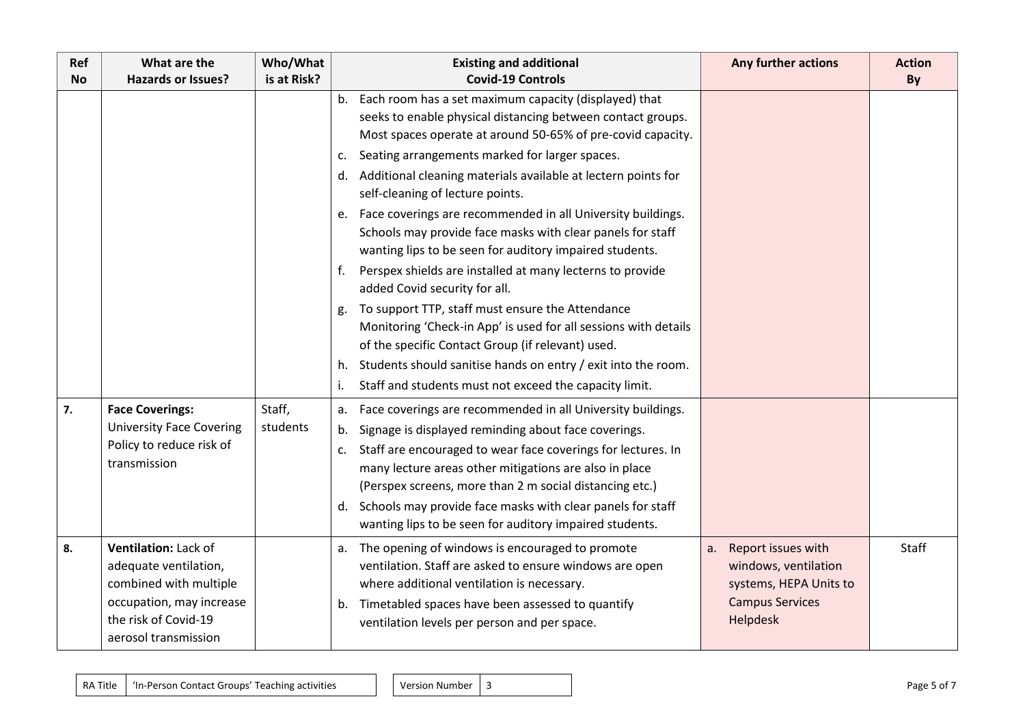| Ref<br><b>No</b> | What are the<br><b>Hazards or Issues?</b> | Who/What<br>is at Risk? | <b>Existing and additional</b><br><b>Covid-19 Controls</b>       | Any further actions    | <b>Action</b><br>By |
|------------------|-------------------------------------------|-------------------------|------------------------------------------------------------------|------------------------|---------------------|
|                  |                                           |                         | b. Each room has a set maximum capacity (displayed) that         |                        |                     |
|                  |                                           |                         | seeks to enable physical distancing between contact groups.      |                        |                     |
|                  |                                           |                         | Most spaces operate at around 50-65% of pre-covid capacity.      |                        |                     |
|                  |                                           |                         | c. Seating arrangements marked for larger spaces.                |                        |                     |
|                  |                                           |                         | d. Additional cleaning materials available at lectern points for |                        |                     |
|                  |                                           |                         | self-cleaning of lecture points.                                 |                        |                     |
|                  |                                           |                         | e. Face coverings are recommended in all University buildings.   |                        |                     |
|                  |                                           |                         | Schools may provide face masks with clear panels for staff       |                        |                     |
|                  |                                           |                         | wanting lips to be seen for auditory impaired students.          |                        |                     |
|                  |                                           |                         | Perspex shields are installed at many lecterns to provide<br>f.  |                        |                     |
|                  |                                           |                         | added Covid security for all.                                    |                        |                     |
|                  |                                           |                         | g. To support TTP, staff must ensure the Attendance              |                        |                     |
|                  |                                           |                         | Monitoring 'Check-in App' is used for all sessions with details  |                        |                     |
|                  |                                           |                         | of the specific Contact Group (if relevant) used.                |                        |                     |
|                  |                                           |                         | h. Students should sanitise hands on entry / exit into the room. |                        |                     |
|                  |                                           |                         | Staff and students must not exceed the capacity limit.           |                        |                     |
| 7.               | <b>Face Coverings:</b>                    | Staff,                  | a. Face coverings are recommended in all University buildings.   |                        |                     |
|                  | <b>University Face Covering</b>           | students                | Signage is displayed reminding about face coverings.<br>b.       |                        |                     |
|                  | Policy to reduce risk of                  |                         | c. Staff are encouraged to wear face coverings for lectures. In  |                        |                     |
|                  | transmission                              |                         | many lecture areas other mitigations are also in place           |                        |                     |
|                  |                                           |                         | (Perspex screens, more than 2 m social distancing etc.)          |                        |                     |
|                  |                                           |                         | d. Schools may provide face masks with clear panels for staff    |                        |                     |
|                  |                                           |                         | wanting lips to be seen for auditory impaired students.          |                        |                     |
| 8.               | Ventilation: Lack of                      |                         | a. The opening of windows is encouraged to promote               | a. Report issues with  | <b>Staff</b>        |
|                  | adequate ventilation,                     |                         | ventilation. Staff are asked to ensure windows are open          | windows, ventilation   |                     |
|                  | combined with multiple                    |                         | where additional ventilation is necessary.                       | systems, HEPA Units to |                     |
|                  | occupation, may increase                  |                         | b. Timetabled spaces have been assessed to quantify              | <b>Campus Services</b> |                     |
|                  | the risk of Covid-19                      |                         | ventilation levels per person and per space.                     | Helpdesk               |                     |
|                  | aerosol transmission                      |                         |                                                                  |                        |                     |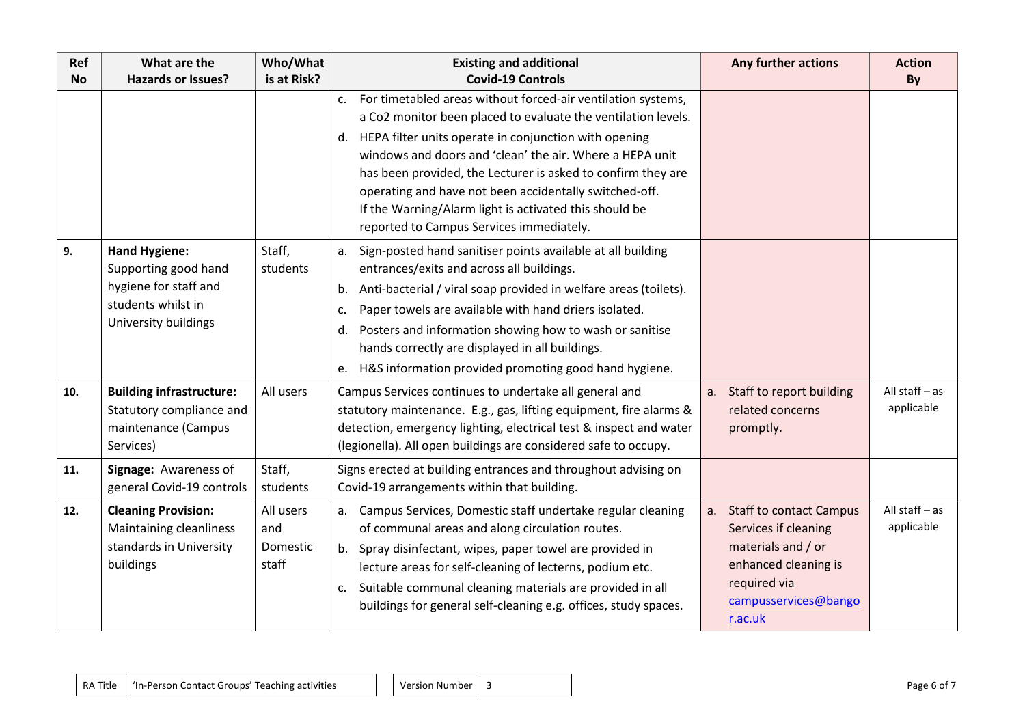| Ref<br><b>No</b> | What are the<br><b>Hazards or Issues?</b>                                                                           | Who/What<br>is at Risk?               | <b>Existing and additional</b><br><b>Covid-19 Controls</b>                                                                                                                                                                                                                                                                                                                                                                                                                                  | Any further actions                                                                                                                                 | <b>Action</b><br>By            |
|------------------|---------------------------------------------------------------------------------------------------------------------|---------------------------------------|---------------------------------------------------------------------------------------------------------------------------------------------------------------------------------------------------------------------------------------------------------------------------------------------------------------------------------------------------------------------------------------------------------------------------------------------------------------------------------------------|-----------------------------------------------------------------------------------------------------------------------------------------------------|--------------------------------|
|                  |                                                                                                                     |                                       | For timetabled areas without forced-air ventilation systems,<br>c.<br>a Co2 monitor been placed to evaluate the ventilation levels.<br>d. HEPA filter units operate in conjunction with opening<br>windows and doors and 'clean' the air. Where a HEPA unit<br>has been provided, the Lecturer is asked to confirm they are<br>operating and have not been accidentally switched-off.<br>If the Warning/Alarm light is activated this should be<br>reported to Campus Services immediately. |                                                                                                                                                     |                                |
| 9.               | <b>Hand Hygiene:</b><br>Supporting good hand<br>hygiene for staff and<br>students whilst in<br>University buildings | Staff,<br>students                    | a. Sign-posted hand sanitiser points available at all building<br>entrances/exits and across all buildings.<br>b. Anti-bacterial / viral soap provided in welfare areas (toilets).<br>Paper towels are available with hand driers isolated.<br>c.<br>d. Posters and information showing how to wash or sanitise<br>hands correctly are displayed in all buildings.<br>e. H&S information provided promoting good hand hygiene.                                                              |                                                                                                                                                     |                                |
| 10.              | <b>Building infrastructure:</b><br>Statutory compliance and<br>maintenance (Campus<br>Services)                     | All users                             | Campus Services continues to undertake all general and<br>statutory maintenance. E.g., gas, lifting equipment, fire alarms &<br>detection, emergency lighting, electrical test & inspect and water<br>(legionella). All open buildings are considered safe to occupy.                                                                                                                                                                                                                       | a. Staff to report building<br>related concerns<br>promptly.                                                                                        | All staff $-$ as<br>applicable |
| 11.              | Signage: Awareness of<br>general Covid-19 controls                                                                  | Staff,<br>students                    | Signs erected at building entrances and throughout advising on<br>Covid-19 arrangements within that building.                                                                                                                                                                                                                                                                                                                                                                               |                                                                                                                                                     |                                |
| 12.              | <b>Cleaning Provision:</b><br>Maintaining cleanliness<br>standards in University<br>buildings                       | All users<br>and<br>Domestic<br>staff | a. Campus Services, Domestic staff undertake regular cleaning<br>of communal areas and along circulation routes.<br>b. Spray disinfectant, wipes, paper towel are provided in<br>lecture areas for self-cleaning of lecterns, podium etc.<br>Suitable communal cleaning materials are provided in all<br>c.<br>buildings for general self-cleaning e.g. offices, study spaces.                                                                                                              | a. Staff to contact Campus<br>Services if cleaning<br>materials and / or<br>enhanced cleaning is<br>required via<br>campusservices@bango<br>r.ac.uk | All staff $-$ as<br>applicable |